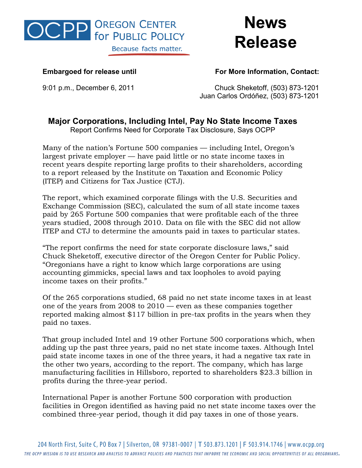

**News Release** 

**Embargoed for release until For More Information, Contact:**

9:01 p.m., December 6, 2011 Chuck Sheketoff, (503) 873-1201 Juan Carlos Ordóñez, (503) 873-1201

## **Major Corporations, Including Intel, Pay No State Income Taxes**

Report Confirms Need for Corporate Tax Disclosure, Says OCPP

Many of the nation's Fortune 500 companies — including Intel, Oregon's largest private employer — have paid little or no state income taxes in recent years despite reporting large profits to their shareholders, according to a report released by the Institute on Taxation and Economic Policy (ITEP) and Citizens for Tax Justice (CTJ).

The report, which examined corporate filings with the U.S. Securities and Exchange Commission (SEC), calculated the sum of all state income taxes paid by 265 Fortune 500 companies that were profitable each of the three years studied, 2008 through 2010. Data on file with the SEC did not allow ITEP and CTJ to determine the amounts paid in taxes to particular states.

"The report confirms the need for state corporate disclosure laws," said Chuck Sheketoff, executive director of the Oregon Center for Public Policy. "Oregonians have a right to know which large corporations are using accounting gimmicks, special laws and tax loopholes to avoid paying income taxes on their profits."

Of the 265 corporations studied, 68 paid no net state income taxes in at least one of the years from 2008 to 2010 — even as these companies together reported making almost \$117 billion in pre-tax profits in the years when they paid no taxes.

That group included Intel and 19 other Fortune 500 corporations which, when adding up the past three years, paid no net state income taxes. Although Intel paid state income taxes in one of the three years, it had a negative tax rate in the other two years, according to the report. The company, which has large manufacturing facilities in Hillsboro, reported to shareholders \$23.3 billion in profits during the three-year period.

International Paper is another Fortune 500 corporation with production facilities in Oregon identified as having paid no net state income taxes over the combined three-year period, though it did pay taxes in one of those years.